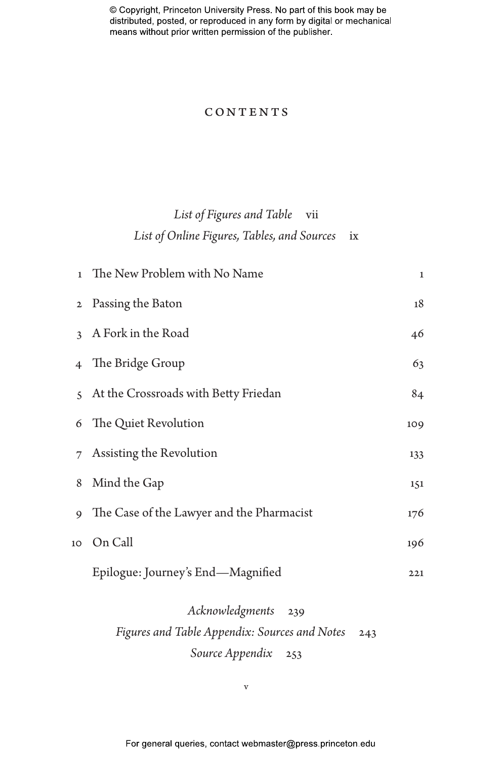## **CONTENTS**

## *List of Figures and Table* vii *List of Online Figures, Tables, and Sources* ix

| 1                                                    | The New Problem with No Name              | $\mathbf 1$ |
|------------------------------------------------------|-------------------------------------------|-------------|
| $\mathbf{2}$                                         | Passing the Baton                         | 18          |
| $\mathbf{3}$                                         | A Fork in the Road                        | 46          |
| $\overline{4}$                                       | The Bridge Group                          | 63          |
| $\leq$                                               | At the Crossroads with Betty Friedan      | 84          |
| 6                                                    | The Quiet Revolution                      | 109         |
|                                                      | 7 Assisting the Revolution                | 133         |
| 8                                                    | Mind the Gap                              | 151         |
| $\mathbf Q$                                          | The Case of the Lawyer and the Pharmacist | 176         |
| 10                                                   | On Call                                   | 196         |
|                                                      | Epilogue: Journey's End-Magnified         | 221         |
| Acknowledgments 239                                  |                                           |             |
| Figures and Table Appendix: Sources and Notes<br>243 |                                           |             |

*Source Appendix* 253

v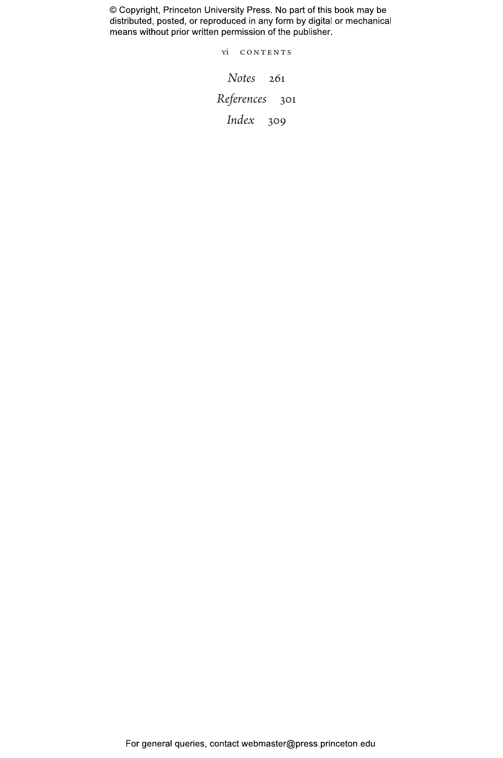vi CONTENTS

*Notes* 261 *References* 301 *Index* 309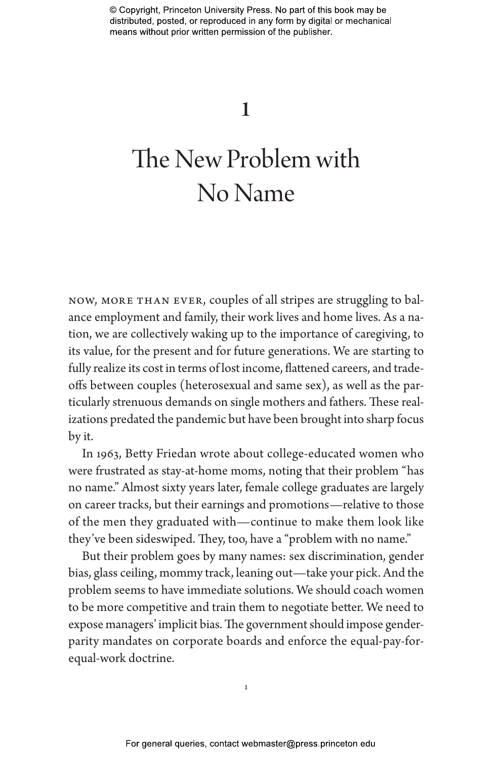# 1

# The New Problem with No Name

now, more than ever, couples of all stripes are struggling to balance employment and family, their work lives and home lives. As a nation, we are collectively waking up to the importance of caregiving, to its value, for the present and for future generations. We are starting to fully realize its cost in terms of lost income, flattened careers, and tradeoffs between couples (heterosexual and same sex), as well as the particularly strenuous demands on single mothers and fathers. These realizations predated the pandemic but have been brought into sharp focus by it.

In 1963, Betty Friedan wrote about college-educated women who were frustrated as stay-at-home moms, noting that their problem "has no name." Almost sixty years later, female college graduates are largely on career tracks, but their earnings and promotions—relative to those of the men they graduated with—continue to make them look like they've been sideswiped. They, too, have a "problem with no name."

But their problem goes by many names: sex discrimination, gender bias, glass ceiling, mommy track, leaning out—take your pick. And the problem seems to have immediate solutions. We should coach women to be more competitive and train them to negotiate better. We need to expose managers' implicit bias. The government should impose genderparity mandates on corporate boards and enforce the equal-pay-forequal-work doctrine.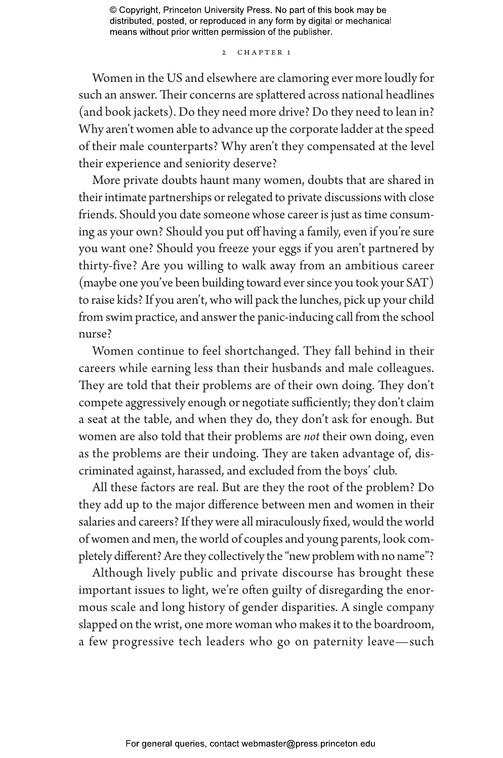## 2 CHAPTER 1

Women in the US and elsewhere are clamoring ever more loudly for such an answer. Their concerns are splattered across national headlines (and book jackets). Do they need more drive? Do they need to lean in? Why aren't women able to advance up the corporate ladder at the speed of their male counterparts? Why aren't they compensated at the level their experience and seniority deserve?

More private doubts haunt many women, doubts that are shared in their intimate partnerships or relegated to private discussions with close friends. Should you date someone whose career is just as time consuming as your own? Should you put off having a family, even if you're sure you want one? Should you freeze your eggs if you aren't partnered by thirty-five? Are you willing to walk away from an ambitious career (maybe one you've been building toward ever since you took your SAT) to raise kids? If you aren't, who will pack the lunches, pick up your child from swim practice, and answer the panic-inducing call from the school nurse?

Women continue to feel shortchanged. They fall behind in their careers while earning less than their husbands and male colleagues. They are told that their problems are of their own doing. They don't compete aggressively enough or negotiate sufficiently; they don't claim a seat at the table, and when they do, they don't ask for enough. But women are also told that their problems are *not* their own doing, even as the problems are their undoing. They are taken advantage of, discriminated against, harassed, and excluded from the boys' club.

All these factors are real. But are they the root of the problem? Do they add up to the major difference between men and women in their salaries and careers? If they were all miraculously fixed, would the world of women and men, the world of couples and young parents, look completely different? Are they collectively the "new problem with no name"?

Although lively public and private discourse has brought these important issues to light, we're often guilty of disregarding the enormous scale and long history of gender disparities. A single company slapped on the wrist, one more woman who makes it to the boardroom, a few progressive tech leaders who go on paternity leave—such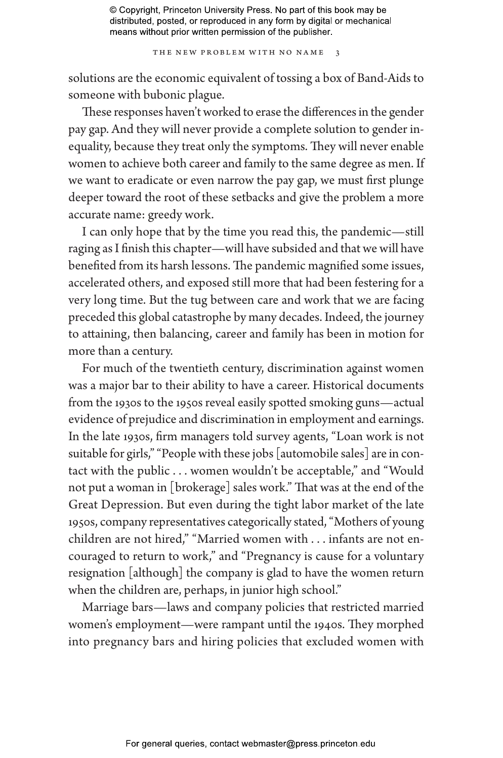THE NEW PROBLEM WITH NO NAME 3

solutions are the economic equivalent of tossing a box of Band-Aids to someone with bubonic plague.

These responses haven't worked to erase the differences in the gender pay gap. And they will never provide a complete solution to gender inequality, because they treat only the symptoms. They will never enable women to achieve both career and family to the same degree as men. If we want to eradicate or even narrow the pay gap, we must first plunge deeper toward the root of these setbacks and give the problem a more accurate name: greedy work.

I can only hope that by the time you read this, the pandemic—still raging as I finish this chapter—will have subsided and that we will have benefited from its harsh lessons. The pandemic magnified some issues, accelerated others, and exposed still more that had been festering for a very long time. But the tug between care and work that we are facing preceded this global catastrophe by many decades. Indeed, the journey to attaining, then balancing, career and family has been in motion for more than a century.

For much of the twentieth century, discrimination against women was a major bar to their ability to have a career. Historical documents from the 1930s to the 1950s reveal easily spotted smoking guns—actual evidence of prejudice and discrimination in employment and earnings. In the late 1930s, firm managers told survey agents, "Loan work is not suitable for girls," "People with these jobs [automobile sales] are in contact with the public . . . women wouldn't be acceptable," and "Would not put a woman in [brokerage] sales work." That was at the end of the Great Depression. But even during the tight labor market of the late 1950s, company representatives categorically stated, "Mothers of young children are not hired," "Married women with . . . infants are not encouraged to return to work," and "Pregnancy is cause for a voluntary resignation [although] the company is glad to have the women return when the children are, perhaps, in junior high school."

Marriage bars—laws and company policies that restricted married women's employment—were rampant until the 1940s. They morphed into pregnancy bars and hiring policies that excluded women with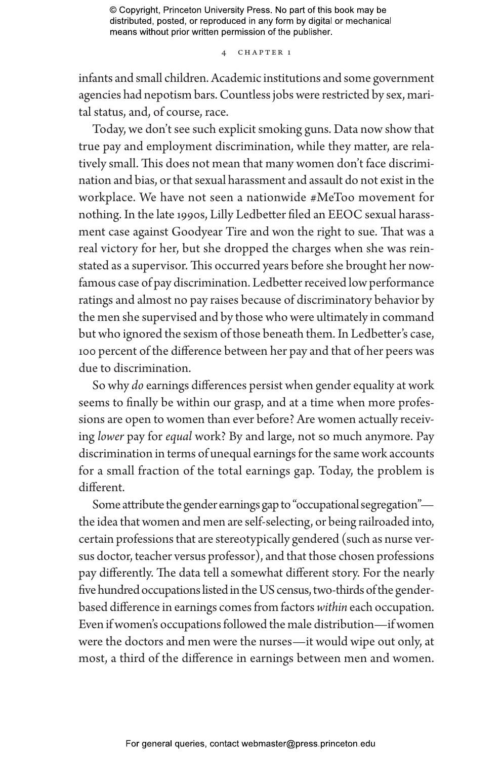## 4 chapter 1

infants and small children. Academic institutions and some government agencies had nepotism bars. Countless jobs were restricted by sex, marital status, and, of course, race.

Today, we don't see such explicit smoking guns. Data now show that true pay and employment discrimination, while they matter, are relatively small. This does not mean that many women don't face discrimination and bias, or that sexual harassment and assault do not exist in the workplace. We have not seen a nationwide #MeToo movement for nothing. In the late 1990s, Lilly Ledbetter filed an EEOC sexual harassment case against Goodyear Tire and won the right to sue. That was a real victory for her, but she dropped the charges when she was reinstated as a supervisor. This occurred years before she brought her nowfamous case of pay discrimination. Ledbetter received low performance ratings and almost no pay raises because of discriminatory behavior by the men she supervised and by those who were ultimately in command but who ignored the sexism of those beneath them. In Ledbetter's case, 100 percent of the difference between her pay and that of her peers was due to discrimination.

So why *do* earnings differences persist when gender equality at work seems to finally be within our grasp, and at a time when more professions are open to women than ever before? Are women actually receiving *lower* pay for *equal* work? By and large, not so much anymore. Pay discrimination in terms of unequal earnings for the same work accounts for a small fraction of the total earnings gap. Today, the problem is different.

Some attribute the gender earnings gap to "occupational segregation" the idea that women and men are self-selecting, or being railroaded into, certain professions that are stereotypically gendered (such as nurse versus doctor, teacher versus professor), and that those chosen professions pay differently. The data tell a somewhat different story. For the nearly five hundred occupations listed in the US census, two-thirds of the genderbased difference in earnings comes from factors *within* each occupation. Even if women's occupations followed the male distribution—if women were the doctors and men were the nurses—it would wipe out only, at most, a third of the difference in earnings between men and women.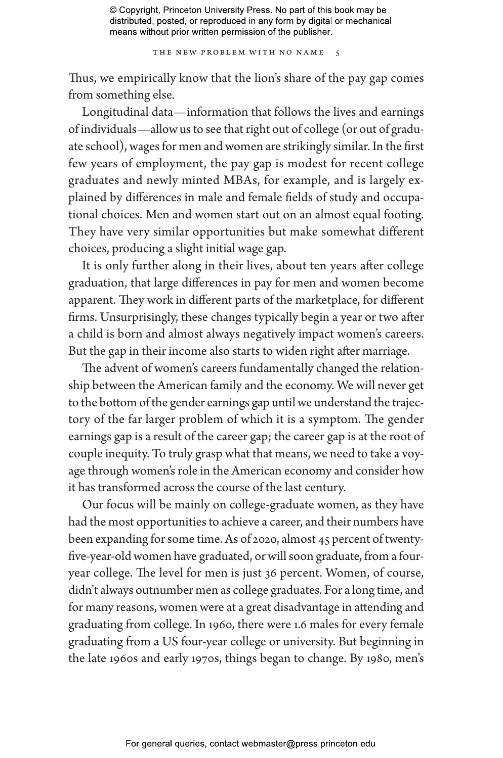THE NEW PROBLEM WITH NO NAME 5

Thus, we empirically know that the lion's share of the pay gap comes from something else.

Longitudinal data—information that follows the lives and earnings of individuals—allow us to see that right out of college (or out of graduate school), wages for men and women are strikingly similar. In the first few years of employment, the pay gap is modest for recent college graduates and newly minted MBAs, for example, and is largely explained by differences in male and female fields of study and occupational choices. Men and women start out on an almost equal footing. They have very similar opportunities but make somewhat different choices, producing a slight initial wage gap.

It is only further along in their lives, about ten years after college graduation, that large differences in pay for men and women become apparent. They work in different parts of the marketplace, for different firms. Unsurprisingly, these changes typically begin a year or two after a child is born and almost always negatively impact women's careers. But the gap in their income also starts to widen right after marriage.

The advent of women's careers fundamentally changed the relationship between the American family and the economy. We will never get to the bottom of the gender earnings gap until we understand the trajectory of the far larger problem of which it is a symptom. The gender earnings gap is a result of the career gap; the career gap is at the root of couple inequity. To truly grasp what that means, we need to take a voyage through women's role in the American economy and consider how it has transformed across the course of the last century.

Our focus will be mainly on college-graduate women, as they have had the most opportunities to achieve a career, and their numbers have been expanding for some time. As of 2020, almost 45 percent of twentyfive-year-old women have graduated, or will soon graduate, from a fouryear college. The level for men is just 36 percent. Women, of course, didn't always outnumber men as college graduates. For a long time, and for many reasons, women were at a great disadvantage in attending and graduating from college. In 1960, there were 1.6 males for every female graduating from a US four-year college or university. But beginning in the late 1960s and early 1970s, things began to change. By 1980, men's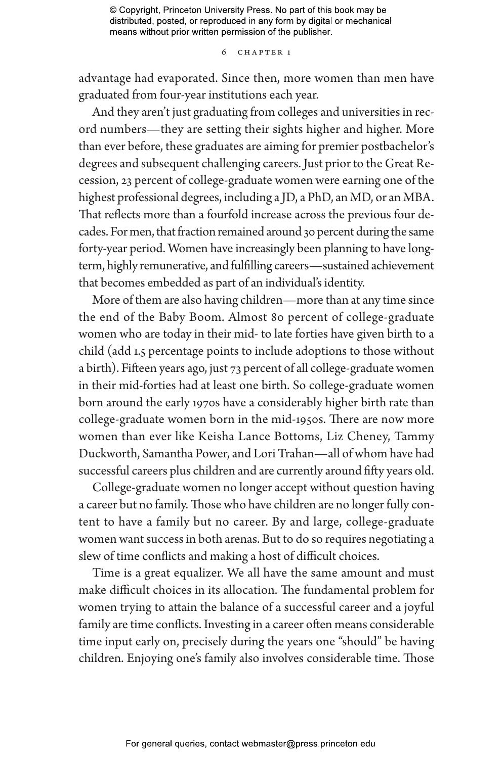## 6 chapter 1

advantage had evaporated. Since then, more women than men have graduated from four-year institutions each year.

And they aren't just graduating from colleges and universities in record numbers—they are setting their sights higher and higher. More than ever before, these graduates are aiming for premier postbachelor's degrees and subsequent challenging careers. Just prior to the Great Recession, 23 percent of college-graduate women were earning one of the highest professional degrees, including a JD, a PhD, an MD, or an MBA. That reflects more than a fourfold increase across the previous four decades. For men, that fraction remained around 30 percent during the same forty-year period. Women have increasingly been planning to have longterm, highly remunerative, and fulfilling careers—sustained achievement that becomes embedded as part of an individual's identity.

More of them are also having children—more than at any time since the end of the Baby Boom. Almost 80 percent of college-graduate women who are today in their mid- to late forties have given birth to a child (add 1.5 percentage points to include adoptions to those without a birth). Fifteen years ago, just 73 percent of all college-graduate women in their mid-forties had at least one birth. So college-graduate women born around the early 1970s have a considerably higher birth rate than college-graduate women born in the mid-1950s. There are now more women than ever like Keisha Lance Bottoms, Liz Cheney, Tammy Duckworth, Samantha Power, and Lori Trahan—all of whom have had successful careers plus children and are currently around fifty years old.

College-graduate women no longer accept without question having a career but no family. Those who have children are no longer fully content to have a family but no career. By and large, college-graduate women want success in both arenas. But to do so requires negotiating a slew of time conflicts and making a host of difficult choices.

Time is a great equalizer. We all have the same amount and must make difficult choices in its allocation. The fundamental problem for women trying to attain the balance of a successful career and a joyful family are time conflicts. Investing in a career often means considerable time input early on, precisely during the years one "should" be having children. Enjoying one's family also involves considerable time. Those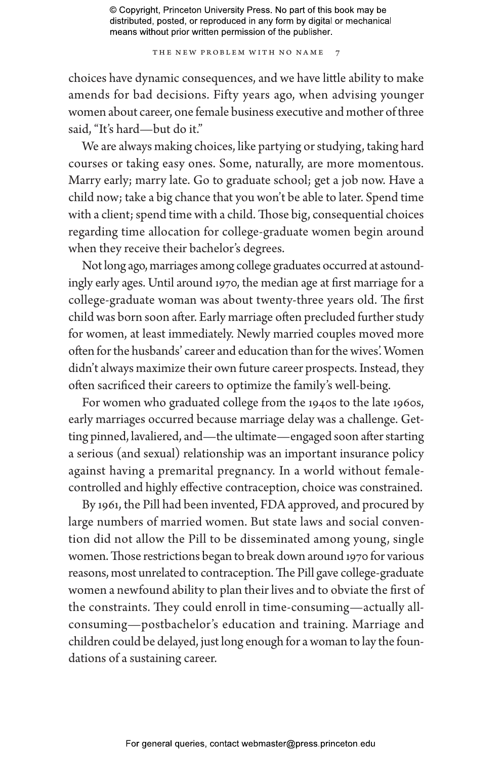THE NEW PROBLEM WITH NO NAME 7

choices have dynamic consequences, and we have little ability to make amends for bad decisions. Fifty years ago, when advising younger women about career, one female business executive and mother of three said, "It's hard—but do it."

We are always making choices, like partying or studying, taking hard courses or taking easy ones. Some, naturally, are more momentous. Marry early; marry late. Go to graduate school; get a job now. Have a child now; take a big chance that you won't be able to later. Spend time with a client; spend time with a child. Those big, consequential choices regarding time allocation for college-graduate women begin around when they receive their bachelor's degrees.

Not long ago, marriages among college graduates occurred at astoundingly early ages. Until around 1970, the median age at first marriage for a college-graduate woman was about twenty-three years old. The first child was born soon after. Early marriage often precluded further study for women, at least immediately. Newly married couples moved more often for the husbands' career and education than for the wives'. Women didn't always maximize their own future career prospects. Instead, they often sacrificed their careers to optimize the family's well-being.

For women who graduated college from the 1940s to the late 1960s, early marriages occurred because marriage delay was a challenge. Getting pinned, lavaliered, and—the ultimate—engaged soon after starting a serious (and sexual) relationship was an important insurance policy against having a premarital pregnancy. In a world without femalecontrolled and highly effective contraception, choice was constrained.

By 1961, the Pill had been invented, FDA approved, and procured by large numbers of married women. But state laws and social convention did not allow the Pill to be disseminated among young, single women. Those restrictions began to break down around 1970 for various reasons, most unrelated to contraception. The Pill gave college-graduate women a newfound ability to plan their lives and to obviate the first of the constraints. They could enroll in time-consuming—actually allconsuming—postbachelor's education and training. Marriage and children could be delayed, just long enough for a woman to lay the foundations of a sustaining career.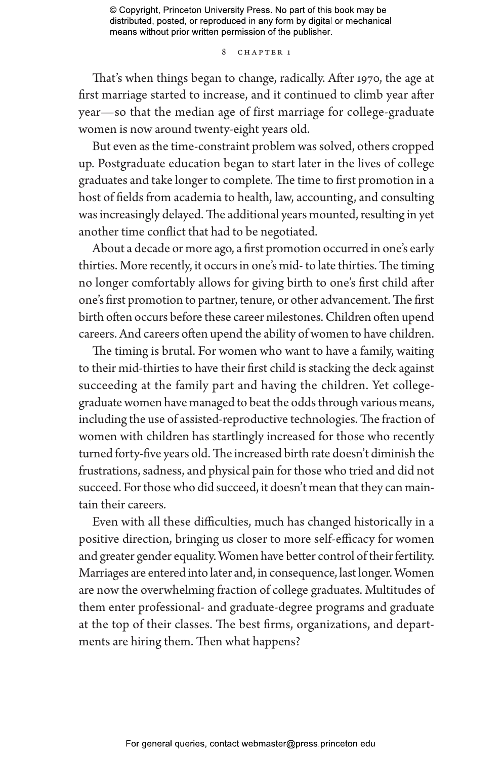## 8 CHAPTER 1

That's when things began to change, radically. After 1970, the age at first marriage started to increase, and it continued to climb year after year—so that the median age of first marriage for college-graduate women is now around twenty-eight years old.

But even as the time-constraint problem was solved, others cropped up. Postgraduate education began to start later in the lives of college graduates and take longer to complete. The time to first promotion in a host of fields from academia to health, law, accounting, and consulting was increasingly delayed. The additional years mounted, resulting in yet another time conflict that had to be negotiated.

About a decade or more ago, a first promotion occurred in one's early thirties. More recently, it occurs in one's mid- to late thirties. The timing no longer comfortably allows for giving birth to one's first child after one's first promotion to partner, tenure, or other advancement. The first birth often occurs before these career milestones. Children often upend careers. And careers often upend the ability of women to have children.

The timing is brutal. For women who want to have a family, waiting to their mid-thirties to have their first child is stacking the deck against succeeding at the family part and having the children. Yet collegegraduate women have managed to beat the odds through various means, including the use of assisted-reproductive technologies. The fraction of women with children has startlingly increased for those who recently turned forty-five years old. The increased birth rate doesn't diminish the frustrations, sadness, and physical pain for those who tried and did not succeed. For those who did succeed, it doesn't mean that they can maintain their careers.

Even with all these difficulties, much has changed historically in a positive direction, bringing us closer to more self-efficacy for women and greater gender equality. Women have better control of their fertility. Marriages are entered into later and, in consequence, last longer. Women are now the overwhelming fraction of college graduates. Multitudes of them enter professional- and graduate-degree programs and graduate at the top of their classes. The best firms, organizations, and departments are hiring them. Then what happens?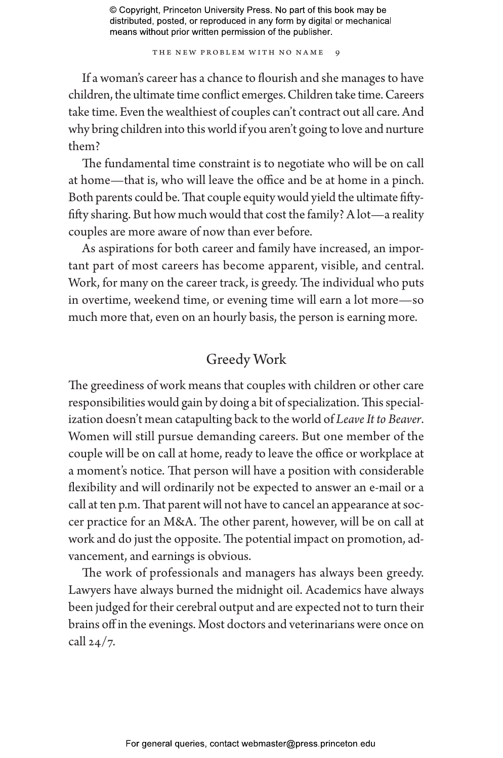THE NEW PROBLEM WITH NO NAME 9

If a woman's career has a chance to flourish and she manages to have children, the ultimate time conflict emerges. Children take time. Careers take time. Even the wealthiest of couples can't contract out all care. And why bring children into this world if you aren't going to love and nurture them?

The fundamental time constraint is to negotiate who will be on call at home—that is, who will leave the office and be at home in a pinch. Both parents could be. That couple equity would yield the ultimate fiftyfifty sharing. But how much would that cost the family? A lot—a reality couples are more aware of now than ever before.

As aspirations for both career and family have increased, an important part of most careers has become apparent, visible, and central. Work, for many on the career track, is greedy. The individual who puts in overtime, weekend time, or evening time will earn a lot more—so much more that, even on an hourly basis, the person is earning more.

## Greedy Work

The greediness of work means that couples with children or other care responsibilities would gain by doing a bit of specialization. This specialization doesn't mean catapulting back to the world of *Leave It to Beaver*. Women will still pursue demanding careers. But one member of the couple will be on call at home, ready to leave the office or workplace at a moment's notice. That person will have a position with considerable flexibility and will ordinarily not be expected to answer an e-mail or a call at ten p.m. That parent will not have to cancel an appearance at soccer practice for an M&A. The other parent, however, will be on call at work and do just the opposite. The potential impact on promotion, advancement, and earnings is obvious.

The work of professionals and managers has always been greedy. Lawyers have always burned the midnight oil. Academics have always been judged for their cerebral output and are expected not to turn their brains off in the evenings. Most doctors and veterinarians were once on call 24/7.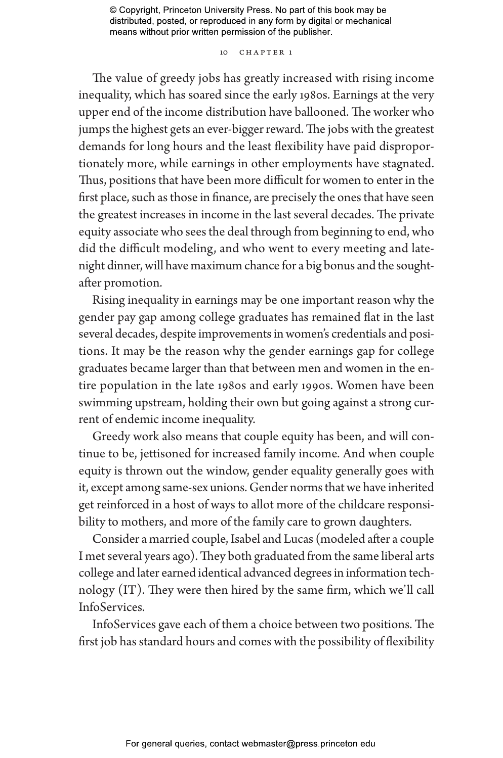## 10 chapter 1

The value of greedy jobs has greatly increased with rising income inequality, which has soared since the early 1980s. Earnings at the very upper end of the income distribution have ballooned. The worker who jumps the highest gets an ever-bigger reward. The jobs with the greatest demands for long hours and the least flexibility have paid disproportionately more, while earnings in other employments have stagnated. Thus, positions that have been more difficult for women to enter in the first place, such as those in finance, are precisely the ones that have seen the greatest increases in income in the last several decades. The private equity associate who sees the deal through from beginning to end, who did the difficult modeling, and who went to every meeting and latenight dinner, will have maximum chance for a big bonus and the soughtafter promotion.

Rising inequality in earnings may be one important reason why the gender pay gap among college graduates has remained flat in the last several decades, despite improvements in women's credentials and positions. It may be the reason why the gender earnings gap for college graduates became larger than that between men and women in the entire population in the late 1980s and early 1990s. Women have been swimming upstream, holding their own but going against a strong current of endemic income inequality.

Greedy work also means that couple equity has been, and will continue to be, jettisoned for increased family income. And when couple equity is thrown out the window, gender equality generally goes with it, except among same-sex unions. Gender norms that we have inherited get reinforced in a host of ways to allot more of the childcare responsibility to mothers, and more of the family care to grown daughters.

Consider a married couple, Isabel and Lucas (modeled after a couple I met several years ago). They both graduated from the same liberal arts college and later earned identical advanced degrees in information technology (IT). They were then hired by the same firm, which we'll call InfoServices.

InfoServices gave each of them a choice between two positions. The first job has standard hours and comes with the possibility of flexibility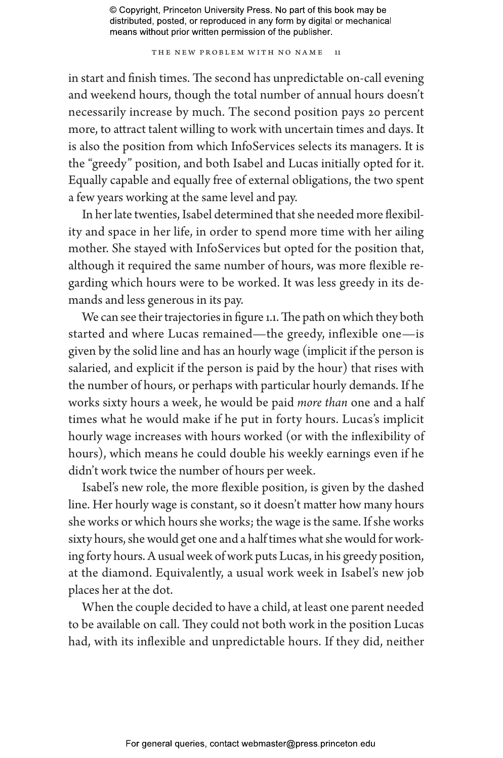THE NEW PROBLEM WITH NO NAME 11

in start and finish times. The second has unpredictable on-call evening and weekend hours, though the total number of annual hours doesn't necessarily increase by much. The second position pays 20 percent more, to attract talent willing to work with uncertain times and days. It is also the position from which InfoServices selects its managers. It is the "greedy" position, and both Isabel and Lucas initially opted for it. Equally capable and equally free of external obligations, the two spent a few years working at the same level and pay.

In her late twenties, Isabel determined that she needed more flexibility and space in her life, in order to spend more time with her ailing mother. She stayed with InfoServices but opted for the position that, although it required the same number of hours, was more flexible regarding which hours were to be worked. It was less greedy in its demands and less generous in its pay.

We can see their trajectories in figure 1.1. The path on which they both started and where Lucas remained—the greedy, inflexible one—is given by the solid line and has an hourly wage (implicit if the person is salaried, and explicit if the person is paid by the hour) that rises with the number of hours, or perhaps with particular hourly demands. If he works sixty hours a week, he would be paid *more than* one and a half times what he would make if he put in forty hours. Lucas's implicit hourly wage increases with hours worked (or with the inflexibility of hours), which means he could double his weekly earnings even if he didn't work twice the number of hours per week.

Isabel's new role, the more flexible position, is given by the dashed line. Her hourly wage is constant, so it doesn't matter how many hours she works or which hours she works; the wage is the same. If she works sixty hours, she would get one and a half times what she would for working forty hours. A usual week of work puts Lucas, in his greedy position, at the diamond. Equivalently, a usual work week in Isabel's new job places her at the dot.

When the couple decided to have a child, at least one parent needed to be available on call. They could not both work in the position Lucas had, with its inflexible and unpredictable hours. If they did, neither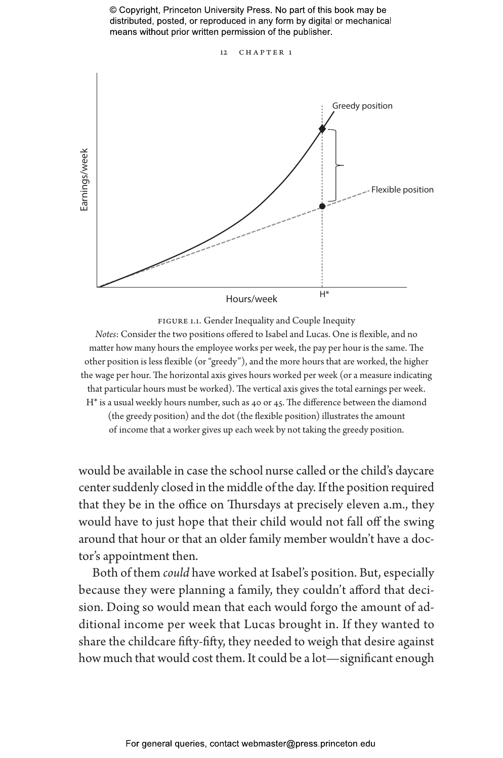

Figure 1.1. Gender Inequality and Couple Inequity

*Notes*: Consider the two positions offered to Isabel and Lucas. One is flexible, and no matter how many hours the employee works per week, the pay per hour is the same. The other position is less flexible (or "greedy"), and the more hours that are worked, the higher the wage per hour. The horizontal axis gives hours worked per week (or a measure indicating that particular hours must be worked). The vertical axis gives the total earnings per week. H\* is a usual weekly hours number, such as 40 or 45. The difference between the diamond (the greedy position) and the dot (the flexible position) illustrates the amount of income that a worker gives up each week by not taking the greedy position.

would be available in case the school nurse called or the child's daycare center suddenly closed in the middle of the day. If the position required that they be in the office on Thursdays at precisely eleven a.m., they would have to just hope that their child would not fall off the swing around that hour or that an older family member wouldn't have a doctor's appointment then.

Both of them *could* have worked at Isabel's position. But, especially because they were planning a family, they couldn't afford that decision. Doing so would mean that each would forgo the amount of additional income per week that Lucas brought in. If they wanted to share the childcare fifty-fifty, they needed to weigh that desire against how much that would cost them. It could be a lot—significant enough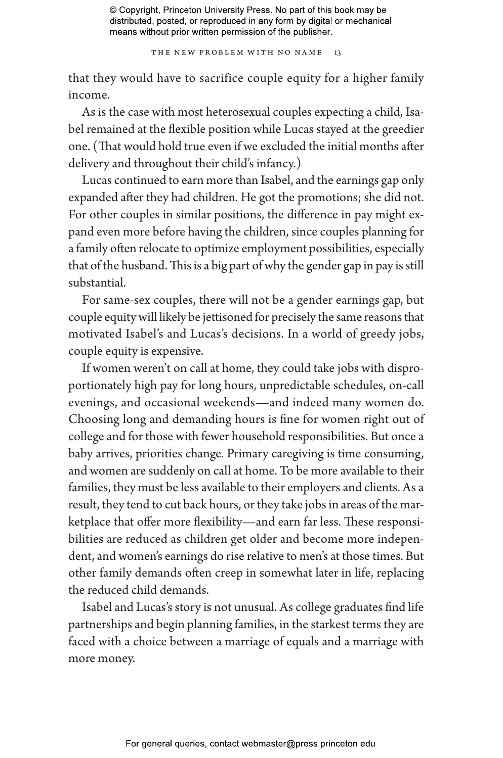THE NEW PROBLEM WITH NO NAME 13

that they would have to sacrifice couple equity for a higher family income.

As is the case with most heterosexual couples expecting a child, Isabel remained at the flexible position while Lucas stayed at the greedier one. (That would hold true even if we excluded the initial months after delivery and throughout their child's infancy.)

Lucas continued to earn more than Isabel, and the earnings gap only expanded after they had children. He got the promotions; she did not. For other couples in similar positions, the difference in pay might expand even more before having the children, since couples planning for a family often relocate to optimize employment possibilities, especially that of the husband. This is a big part of why the gender gap in pay is still substantial.

For same-sex couples, there will not be a gender earnings gap, but couple equity will likely be jettisoned for precisely the same reasons that motivated Isabel's and Lucas's decisions. In a world of greedy jobs, couple equity is expensive.

If women weren't on call at home, they could take jobs with disproportionately high pay for long hours, unpredictable schedules, on-call evenings, and occasional weekends—and indeed many women do. Choosing long and demanding hours is fine for women right out of college and for those with fewer household responsibilities. But once a baby arrives, priorities change. Primary caregiving is time consuming, and women are suddenly on call at home. To be more available to their families, they must be less available to their employers and clients. As a result, they tend to cut back hours, or they take jobs in areas of the marketplace that offer more flexibility—and earn far less. These responsibilities are reduced as children get older and become more independent, and women's earnings do rise relative to men's at those times. But other family demands often creep in somewhat later in life, replacing the reduced child demands.

Isabel and Lucas's story is not unusual. As college graduates find life partnerships and begin planning families, in the starkest terms they are faced with a choice between a marriage of equals and a marriage with more money.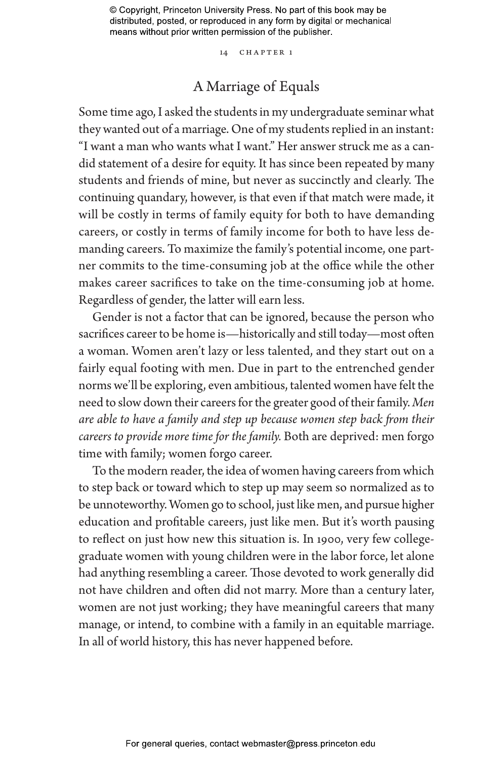14 CHAPTER 1

## A Marriage of Equals

Some time ago, I asked the students in my undergraduate seminar what they wanted out of a marriage. One of my students replied in an instant: "I want a man who wants what I want." Her answer struck me as a candid statement of a desire for equity. It has since been repeated by many students and friends of mine, but never as succinctly and clearly. The continuing quandary, however, is that even if that match were made, it will be costly in terms of family equity for both to have demanding careers, or costly in terms of family income for both to have less demanding careers. To maximize the family's potential income, one partner commits to the time-consuming job at the office while the other makes career sacrifices to take on the time-consuming job at home. Regardless of gender, the latter will earn less.

Gender is not a factor that can be ignored, because the person who sacrifices career to be home is—historically and still today—most often a woman. Women aren't lazy or less talented, and they start out on a fairly equal footing with men. Due in part to the entrenched gender norms we'll be exploring, even ambitious, talented women have felt the need to slow down their careers for the greater good of their family. *Men are able to have a family and step up because women step back from their careers to provide more time for the family.* Both are deprived: men forgo time with family; women forgo career.

To the modern reader, the idea of women having careers from which to step back or toward which to step up may seem so normalized as to be unnoteworthy. Women go to school, just like men, and pursue higher education and profitable careers, just like men. But it's worth pausing to reflect on just how new this situation is. In 1900, very few collegegraduate women with young children were in the labor force, let alone had anything resembling a career. Those devoted to work generally did not have children and often did not marry. More than a century later, women are not just working; they have meaningful careers that many manage, or intend, to combine with a family in an equitable marriage. In all of world history, this has never happened before.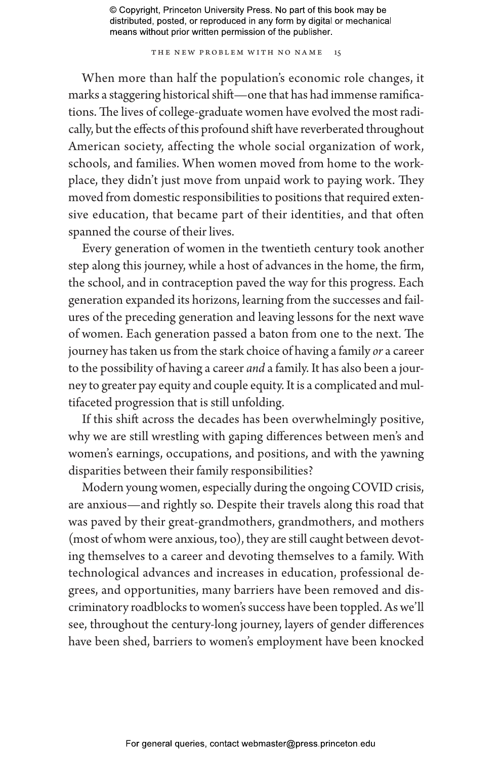THE NEW PROBLEM WITH NO NAME 15

When more than half the population's economic role changes, it marks a staggering historical shift—one that has had immense ramifications. The lives of college-graduate women have evolved the most radically, but the effects of this profound shift have reverberated throughout American society, affecting the whole social organization of work, schools, and families. When women moved from home to the workplace, they didn't just move from unpaid work to paying work. They moved from domestic responsibilities to positions that required extensive education, that became part of their identities, and that often spanned the course of their lives.

Every generation of women in the twentieth century took another step along this journey, while a host of advances in the home, the firm, the school, and in contraception paved the way for this progress. Each generation expanded its horizons, learning from the successes and failures of the preceding generation and leaving lessons for the next wave of women. Each generation passed a baton from one to the next. The journey has taken us from the stark choice of having a family *or* a career to the possibility of having a career *and* a family. It has also been a journey to greater pay equity and couple equity. It is a complicated and multifaceted progression that is still unfolding.

If this shift across the decades has been overwhelmingly positive, why we are still wrestling with gaping differences between men's and women's earnings, occupations, and positions, and with the yawning disparities between their family responsibilities?

Modern young women, especially during the ongoing COVID crisis, are anxious—and rightly so. Despite their travels along this road that was paved by their great-grandmothers, grandmothers, and mothers (most of whom were anxious, too), they are still caught between devoting themselves to a career and devoting themselves to a family. With technological advances and increases in education, professional degrees, and opportunities, many barriers have been removed and discriminatory roadblocks to women's success have been toppled. As we'll see, throughout the century-long journey, layers of gender differences have been shed, barriers to women's employment have been knocked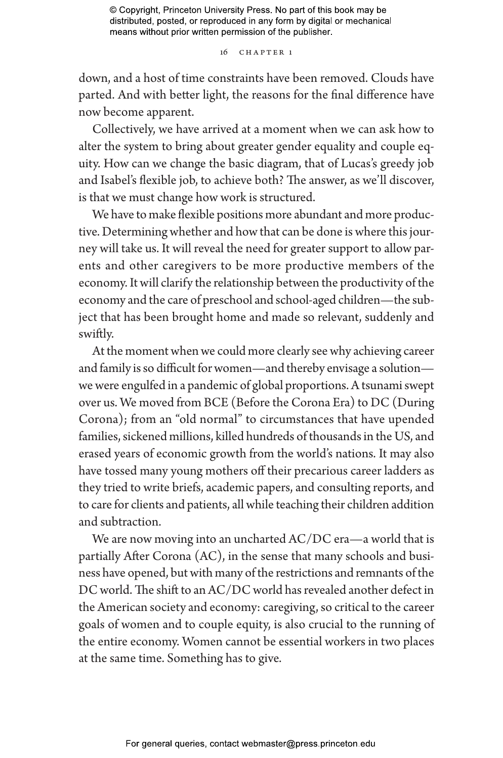16 chapter 1

down, and a host of time constraints have been removed. Clouds have parted. And with better light, the reasons for the final difference have now become apparent.

Collectively, we have arrived at a moment when we can ask how to alter the system to bring about greater gender equality and couple equity. How can we change the basic diagram, that of Lucas's greedy job and Isabel's flexible job, to achieve both? The answer, as we'll discover, is that we must change how work is structured.

We have to make flexible positions more abundant and more productive. Determining whether and how that can be done is where this journey will take us. It will reveal the need for greater support to allow parents and other caregivers to be more productive members of the economy. It will clarify the relationship between the productivity of the economy and the care of preschool and school-aged children—the subject that has been brought home and made so relevant, suddenly and swiftly.

At the moment when we could more clearly see why achieving career and family is so difficult for women—and thereby envisage a solution we were engulfed in a pandemic of global proportions. A tsunami swept over us. We moved from BCE (Before the Corona Era) to DC (During Corona); from an "old normal" to circumstances that have upended families, sickened millions, killed hundreds of thousands in the US, and erased years of economic growth from the world's nations. It may also have tossed many young mothers off their precarious career ladders as they tried to write briefs, academic papers, and consulting reports, and to care for clients and patients, all while teaching their children addition and subtraction.

We are now moving into an uncharted AC/DC era-a world that is partially After Corona (AC), in the sense that many schools and business have opened, but with many of the restrictions and remnants of the DC world. The shift to an AC/DC world has revealed another defect in the American society and economy: caregiving, so critical to the career goals of women and to couple equity, is also crucial to the running of the entire economy. Women cannot be essential workers in two places at the same time. Something has to give.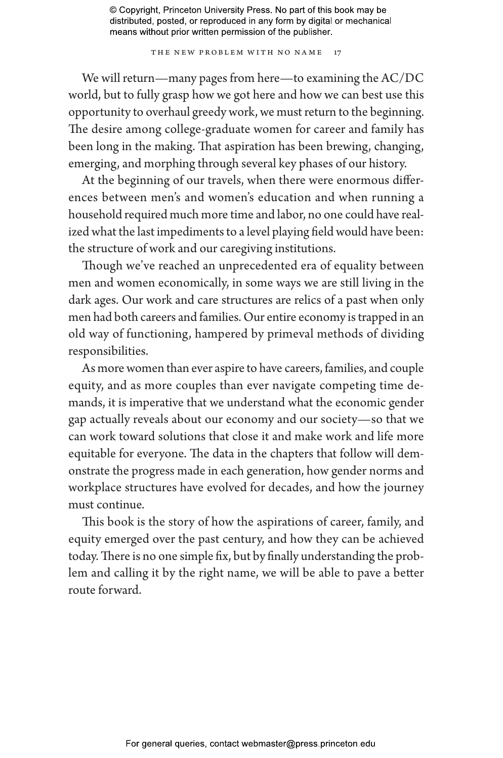THE NEW PROBLEM WITH NO NAME 17

We will return—many pages from here—to examining the AC/DC world, but to fully grasp how we got here and how we can best use this opportunity to overhaul greedy work, we must return to the beginning. The desire among college-graduate women for career and family has been long in the making. That aspiration has been brewing, changing, emerging, and morphing through several key phases of our history.

At the beginning of our travels, when there were enormous differences between men's and women's education and when running a household required much more time and labor, no one could have realized what the last impediments to a level playing field would have been: the structure of work and our caregiving institutions.

Though we've reached an unprecedented era of equality between men and women economically, in some ways we are still living in the dark ages. Our work and care structures are relics of a past when only men had both careers and families. Our entire economy is trapped in an old way of functioning, hampered by primeval methods of dividing responsibilities.

As more women than ever aspire to have careers, families, and couple equity, and as more couples than ever navigate competing time demands, it is imperative that we understand what the economic gender gap actually reveals about our economy and our society—so that we can work toward solutions that close it and make work and life more equitable for everyone. The data in the chapters that follow will demonstrate the progress made in each generation, how gender norms and workplace structures have evolved for decades, and how the journey must continue.

This book is the story of how the aspirations of career, family, and equity emerged over the past century, and how they can be achieved today. There is no one simple fix, but by finally understanding the problem and calling it by the right name, we will be able to pave a better route forward.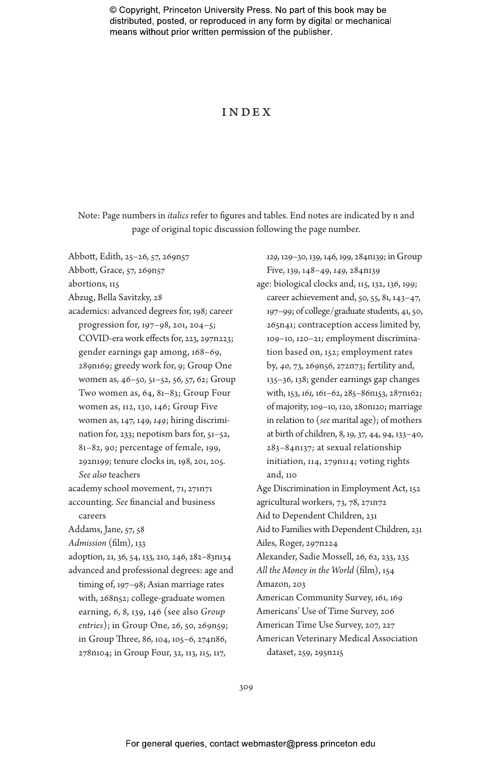## Index

Note: Page numbers in *italics* refer to figures and tables. End notes are indicated by n and page of original topic discussion following the page number.

Abbott, Edith, 25–26, 57, 269n57

Abbott, Grace, 57, 269n57

abortions, 115

- Abzug, Bella Savitzky, 28
- academics: advanced degrees for, 198; career progression for, 197–98, 201, 204–5; COVID-era work effects for, 223, 297n223; gender earnings gap among, 168–69, 289n169; greedy work for, 9; Group One women as, 46–50, 51–52, 56, 57, 62; Group Two women as, 64, 81–83; Group Four women as, 112, 130, 146; Group Five women as, 147, 149, *149*; hiring discrimination for, 233; nepotism bars for, 51–52, 81–82, 90; percentage of female, 199, 292n199; tenure clocks in, 198, 201, 205. *See also* teachers
- academy school movement, 71, 271n71 accounting. *See* financial and business careers

Addams, Jane, 57, 58

*Admission* (film), 133

- adoption, 21, 36, 54, 133, 210, 246, 282–83n134
- advanced and professional degrees: age and timing of, 197–98; Asian marriage rates with, 268n52; college-graduate women earning, 6, 8, 139, 146 (see also *Group entries*); in Group One, 26, 50, 269n59; in Group Three, 86, 104, 105–6, 274n86, 278n104; in Group Four, 32, 113, 115, 117,

*129,* 129–30, 139, 146, 199, 284n139; in Group Five, 139, 148–49, *149,* 284n139 age: biological clocks and, 115, 132, 136, 199; career achievement and, 50, 55, 81, 143–47, 197–99; of college/graduate students, 41, 50, 265n41; contraception access limited by, 109–10, 120–21; employment discrimination based on, 152; employment rates by, *40,* 73, 269n56, 272n73; fertility and, 135–36, 138; gender earnings gap changes with, 153, *161,* 161–62, 285–86n153, 287n162; of majority, 109–10, 120, 280n120; marriage in relation to (*see* marital age); of mothers at birth of children, 8, 19, 37, 44, 94, 133–40, 283–84n137; at sexual relationship initiation, 114, 279n114; voting rights and, 110

Age Discrimination in Employment Act, 152 agricultural workers, 73, 78, 271n72 Aid to Dependent Children, 231 Aid to Families with Dependent Children, 231 Ailes, Roger, 297n224 Alexander, Sadie Mossell, 26, 62, 233, 235 *All the Money in the World* (film), 154 Amazon, 203 American Community Survey, 161, 169 Americans' Use of Time Survey, 206 American Time Use Survey, 207, 227 American Veterinary Medical Association dataset, 259, 295n215

309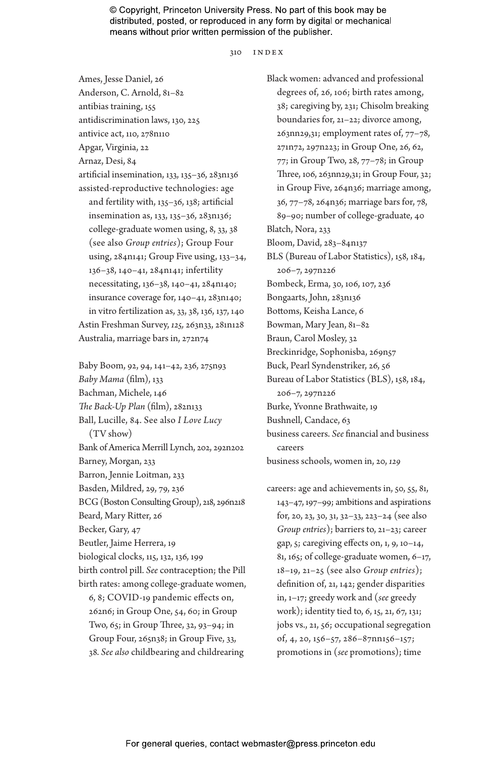310 index

Ames, Jesse Daniel, 26 Anderson, C. Arnold, 81–82 antibias training, 155 antidiscrimination laws, 130, 225 antivice act, 110, 278n110 Apgar, Virginia, 22 Arnaz, Desi, 84 artificial insemination, 133, 135–36, 283n136 assisted-reproductive technologies: age and fertility with, 135–36, 138; artificial insemination as, 133, 135–36, 283n136; college-graduate women using, 8, 33, 38 (see also *Group entries*); Group Four using, 284n141; Group Five using, 133–34, 136–38, 140–41, 284n141; infertility necessitating, 136–38, 140–41, 284n140; insurance coverage for, 140–41, 283n140; in vitro fertilization as, 33, 38, 136, 137, 140 Astin Freshman Survey, *125,* 263n33, 281n128 Australia, marriage bars in, 272n74 Baby Boom, 92, 94, 141–42, 236, 275n93

*Baby Mama* (film), 133 Bachman, Michele, 146 *The Back-Up Plan* (film), 282n133 Ball, Lucille, 84. See also *I Love Lucy* (TV show) Bank of America Merrill Lynch, 202, 292n202 Barney, Morgan, 233 Barron, Jennie Loitman, 233 Basden, Mildred, 29, 79, 236 BCG (Boston Consulting Group), 218, 296n218 Beard, Mary Ritter, 26 Becker, Gary, 47 Beutler, Jaime Herrera, 19 biological clocks, 115, 132, 136, 199 birth control pill. *See* contraception; the Pill birth rates: among college-graduate women, 6, 8; COVID-19 pandemic effects on, 262n6; in Group One, 54, 60; in Group Two, 65; in Group Three, 32, 93–94; in Group Four, 265n38; in Group Five, 33, 38. *See also* childbearing and childrearing

Black women: advanced and professional degrees of, 26, 106; birth rates among, 38; caregiving by, 231; Chisolm breaking boundaries for, 21–22; divorce among, 263nn29,31; employment rates of, 77–78, 271n72, 297n223; in Group One, 26, 62, 77; in Group Two, 28, 77–78; in Group Three, 106, 263nn29,31; in Group Four, 32; in Group Five, 264n36; marriage among, 36, 77–78, 264n36; marriage bars for, 78, 89–90; number of college-graduate, 40 Blatch, Nora, 233 Bloom, David, 283–84n137 BLS (Bureau of Labor Statistics), 158, 184, 206–7, 297n226 Bombeck, Erma, 30, 106, 107, 236 Bongaarts, John, 283n136 Bottoms, Keisha Lance, 6 Bowman, Mary Jean, 81–82 Braun, Carol Mosley, 32 Breckinridge, Sophonisba, 269n57 Buck, Pearl Syndenstriker, 26, 56 Bureau of Labor Statistics (BLS), 158, 184, 206–7, 297n226 Burke, Yvonne Brathwaite, 19 Bushnell, Candace, 63 business careers. *See* financial and business careers business schools, women in, 20, *129*

careers: age and achievements in, 50, 55, 81, 143–47, 197–99; ambitions and aspirations for, 20, 23, 30, 31, 32–33, 223–24 (see also *Group entries*); barriers to, 21–23; career gap, 5; caregiving effects on, 1, 9, 10–14, 81, 165; of college-graduate women, 6–17, 18–19, 21–25 (see also *Group entries*); definition of, 21, 142; gender disparities in, 1–17; greedy work and (*see* greedy work); identity tied to, 6, 15, 21, 67, 131; jobs vs., 21, 56; occupational segregation of, 4, 20, 156–57, 286–87nn156–157; promotions in (*see* promotions); time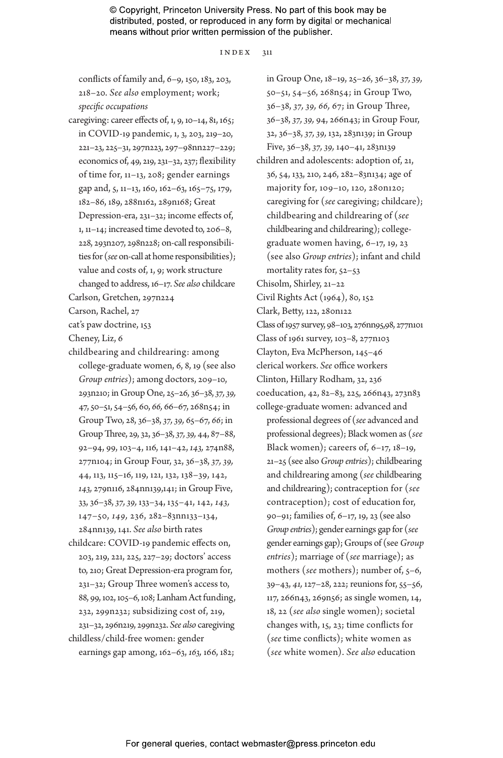index 311

conflicts of family and, 6–9, 150, 183, 203, 218–20. *See also* employment; work; *specific occupations*

caregiving: career effects of,  $1, 9, 10-14, 81, 165$ ; in COVID-19 pandemic, 1, 3, 203, 219–20, 221–23, 225–31, 297n223, 297–98nn227–229; economics of, 49, 219, 231–32, 237; flexibility of time for, 11–13, 208; gender earnings gap and, 5, 11–13, 160, 162–63, 165–75, 179, 182–86, 189, 288n162, 289n168; Great Depression-era, 231–32; income effects of, 1, 11–14; increased time devoted to, 206–8, 228, 293n207, 298n228; on-call responsibilities for (*see* on-call at home responsibilities); value and costs of, 1, 9; work structure changed to address, 16–17. *See also* childcare

Carlson, Gretchen, 297n224

Carson, Rachel, 27

cat's paw doctrine, 153

Cheney, Liz, 6

- childbearing and childrearing: among college-graduate women, 6, 8, 19 (see also *Group entries*); among doctors, 209–10, 293n210; in Group One, 25–26, 36–38, *37, 39,* 47, 50–51, 54–56, 60, *66,* 66–67, 268n54; in Group Two, 28, 36–38, *37, 39,* 65–67, *66*; in Group Three, 29, 32, 36–38, *37, 39,* 44, 87–88, 92–94, 99, 103–4, 116, 141–42, *143,* 274n88, 277n104; in Group Four, 32, 36–38, *37, 39,* 44, 113, 115–16, 119, 121, 132, 138–39, 142, *143,* 279n116, 284nn139,141; in Group Five, 33, 36–38, *37, 39,* 133–34, 135–41, 142, *143,* 147–50, *149,* 236, 282–83nn133–134, 284nn139, 141. *See also* birth rates
- childcare: COVID-19 pandemic effects on, 203, 219, 221, 225, 227–29; doctors' access to, 210; Great Depression-era program for, 231–32; Group Three women's access to, 88, 99, 102, 105–6, 108; Lanham Act funding, 232, 299n232; subsidizing cost of, 219, 231–32, 296n219, 299n232. *See also* caregiving childless/child-free women: gender

earnings gap among, 162–63, *163,* 166, 182;

in Group One, 18–19, 25–26, 36–38, *37, 39,* 50–51, 54–56, 268n54; in Group Two, 36–38, *37, 39, 66,* 67; in Group Three, 36–38, *37, 39,* 94, 266n43; in Group Four, 32, 36–38, *37, 39,* 132, 283n139; in Group Five, 36–38, *37, 39,* 140–41, 283n139

children and adolescents: adoption of, 21, 36, 54, 133, 210, 246, 282–83n134; age of majority for, 109–10, 120, 280n120; caregiving for (*see* caregiving; childcare); childbearing and childrearing of (*see* childbearing and childrearing); collegegraduate women having, 6–17, 19, 23 (see also *Group entries*); infant and child mortality rates for, 52–53 Chisolm, Shirley, 21–22 Civil Rights Act (1964), 80, 152 Clark, Betty, 122, 280n122 Class of 1957 survey, 98–103, 276nn95,98, 277n101 Class of 1961 survey, 103–8, 277n103 Clayton, Eva McPherson, 145–46

clerical workers. *See* office workers Clinton, Hillary Rodham, 32, 236 coeducation, 42, 82–83, 225, 266n43, 273n83 college-graduate women: advanced and

professional degrees of (*see* advanced and professional degrees); Black women as (*see* Black women); careers of, 6–17, 18–19, 21–25 (see also *Group entries*); childbearing and childrearing among (*see* childbearing and childrearing); contraception for (*see* contraception); cost of education for, 90–91; families of, 6–17, 19, 23 (see also *Group entries*); gender earnings gap for (*see* gender earnings gap); Groups of (see *Group entries*); marriage of (*see* marriage); as mothers (*see* mothers); number of, 5–6, 39–43, *41,* 127–28, 222; reunions for, 55–56, 117, 266n43, 269n56; as single women, 14, 18, 22 (*see also* single women); societal changes with, 15, 23; time conflicts for (*see* time conflicts); white women as (*see* white women). *See also* education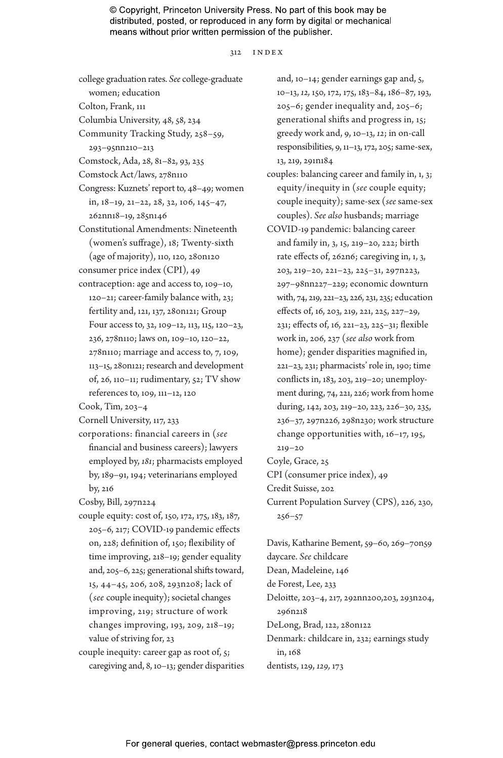312 INDEX

college graduation rates. *See* college-graduate women; education Colton, Frank, 111 Columbia University, 48, 58, 234 Community Tracking Study, 258–59, 293–95nn210–213 Comstock, Ada, 28, 81–82, 93, 235 Comstock Act/laws, 278n110 Congress: Kuznets' report to, 48–49; women in, 18–19, 21–22, 28, 32, 106, 145–47, 262nn18–19, 285n146 Constitutional Amendments: Nineteenth (women's suffrage), 18; Twenty-sixth (age of majority), 110, 120, 280n120 consumer price index (CPI), 49 contraception: age and access to, 109–10, 120–21; career-family balance with, 23; fertility and, 121, 137, 280n121; Group Four access to, 32, 109–12, 113, 115, 120–23, 236, 278n110; laws on, 109–10, 120–22, 278n110; marriage and access to, 7, 109, 113–15, 280n121; research and development of, 26, 110–11; rudimentary, 52; TV show references to, 109, 111–12, 120 Cook, Tim, 203–4 Cornell University, 117, 233 corporations: financial careers in (*see* financial and business careers); lawyers employed by, *181*; pharmacists employed by, 189–91, 194; veterinarians employed by, 216 Cosby, Bill, 297n224 couple equity: cost of, 150, 172, 175, 183, 187, 205–6, 217; COVID-19 pandemic effects on, 228; definition of, 150; flexibility of time improving, 218–19; gender equality and, 205–6, 225; generational shifts toward, 15, 44–45, 206, 208, 293n208; lack of (*see* couple inequity); societal changes improving, 219; structure of work changes improving, 193, 209, 218–19; value of striving for, 23 couple inequity: career gap as root of, 5;

caregiving and, 8, 10–13; gender disparities

and, 10–14; gender earnings gap and, 5, 10–13, *12,* 150, 172, 175, 183–84, 186–87, 193, 205–6; gender inequality and, 205–6; generational shifts and progress in, 15; greedy work and, 9, 10–13, *12*; in on-call responsibilities, 9, 11–13, 172, 205; same-sex, 13, 219, 291n184

- couples: balancing career and family in, 1, 3; equity/inequity in (*see* couple equity; couple inequity); same-sex (*see* same-sex couples). *See also* husbands; marriage
- COVID-19 pandemic: balancing career and family in, 3, 15, 219–20, 222; birth rate effects of, 262n6; caregiving in, 1, 3, 203, 219–20, 221–23, 225–31, 297n223, 297–98nn227–229; economic downturn with, 74, 219, 221–23, 226, 231, 235; education effects of, 16, 203, 219, 221, 225, 227–29, 231; effects of, 16, 221–23, 225–31; flexible work in, 206, 237 (*see also* work from home); gender disparities magnified in, 221–23, 231; pharmacists' role in, 190; time conflicts in, 183, 203, 219–20; unemployment during, 74, 221, 226; work from home during, 142, 203, 219–20, 223, 226–30, 235, 236–37, 297n226, 298n230; work structure change opportunities with, 16–17, 195, 219–20

Coyle, Grace, 25

CPI (consumer price index), 49

Credit Suisse, 202

Current Population Survey (CPS), 226, 230, 256–57

Davis, Katharine Bement, 59–60, 269–70n59 daycare. *See* childcare Dean, Madeleine, 146 de Forest, Lee, 233 Deloitte, 203–4, 217, 292nn200,203, 293n204, 296n218 DeLong, Brad, 122, 280n122 Denmark: childcare in, 232; earnings study in, 168 dentists, 129, *129,* 173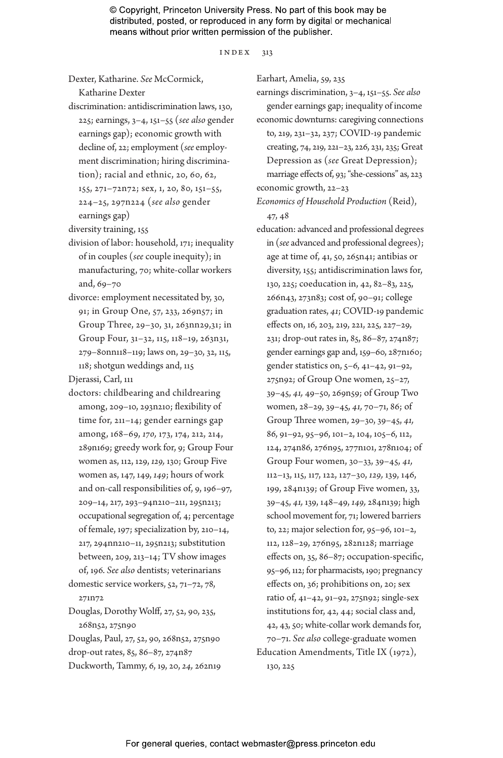#### $INDEX$  313

Dexter, Katharine. *See* McCormick, Katharine Dexter

discrimination: antidiscrimination laws, 130, 225; earnings, 3–4, 151–55 (*see also* gender earnings gap); economic growth with decline of, 22; employment (*see* employment discrimination; hiring discrimination); racial and ethnic, 20, 60, 62, 155, 271–72n72; sex, 1, 20, 80, 151–55, 224–25, 297n224 (*see also* gender earnings gap)

diversity training, 155

- division of labor: household, 171; inequality of in couples (*see* couple inequity); in manufacturing, 70; white-collar workers and, 69–70
- divorce: employment necessitated by, 30, 91; in Group One, 57, 233, 269n57; in Group Three, 29–30, 31, 263nn29,31; in Group Four, 31–32, 115, 118–19, 263n31, 279–80nn118–119; laws on, 29–30, 32, 115, 118; shotgun weddings and, 115

Djerassi, Carl, 111

- doctors: childbearing and childrearing among, 209–10, 293n210; flexibility of time for, 211–14; gender earnings gap among, 168–69, *170,* 173, 174, 212, 214, 289n169; greedy work for, 9; Group Four women as, 112, 129, *129,* 130; Group Five women as, 147, 149, *149*; hours of work and on-call responsibilities of, 9, 196–97, 209–14, 217, 293–94n210–211, 295n213; occupational segregation of, 4; percentage of female, 197; specialization by, 210–14, 217, 294nn210–11, 295n213; substitution between, 209, 213–14; TV show images of, 196. *See also* dentists; veterinarians
- domestic service workers, 52, 71–72, 78, 271n72

Douglas, Dorothy Wolff, 27, 52, 90, 235, 268n52, 275n90

Douglas, Paul, 27, 52, 90, 268n52, 275n90 drop-out rates, 85, 86–87, 274n87 Duckworth, Tammy, 6, 19, 20, *24,* 262n19 Earhart, Amelia, 59, 235

- earnings discrimination, 3–4, 151–55. *See also* gender earnings gap; inequality of income
- economic downturns: caregiving connections to, 219, 231–32, 237; COVID-19 pandemic creating, 74, 219, 221–23, 226, 231, 235; Great Depression as (*see* Great Depression); marriage effects of, 93; "she-cessions" as, 223

economic growth, 22–23

- *Economics of Household Production* (Reid), 47, 48
- education: advanced and professional degrees in (*see* advanced and professional degrees); age at time of, 41, 50, 265n41; antibias or diversity, 155; antidiscrimination laws for, 130, 225; coeducation in, 42, 82–83, 225, 266n43, 273n83; cost of, 90–91; college graduation rates, *41*; COVID-19 pandemic effects on, 16, 203, 219, 221, 225, 227–29, 231; drop-out rates in, 85, 86–87, 274n87; gender earnings gap and, 159–60, 287n160; gender statistics on, 5–6, 41–42, 91–92, 275n92; of Group One women, 25–27, 39–45, *41,* 49–50, 269n59; of Group Two women, 28–29, 39–45, *41,* 70–71, 86; of Group Three women, 29–30, 39–45, *41,* 86, 91–92, 95–96, 101–2, 104, 105–6, 112, 124, 274n86, 276n95, 277n101, 278n104; of Group Four women, 30–33, 39–45, *41,* 112–13, 115, 117, 122, 127–30, *129,* 139, 146, 199, 284n139; of Group Five women, 33, 39–45, *41,* 139, 148–49, *149,* 284n139; high school movement for, 71; lowered barriers to, 22; major selection for, 95–96, 101–2, 112, 128–29, 276n95, 282n128; marriage effects on, 35, 86–87; occupation-specific, 95–96, 112; for pharmacists, 190; pregnancy effects on, 36; prohibitions on, 20; sex ratio of, 41–42, 91–92, 275n92; single-sex institutions for, 42, 44; social class and, 42, 43, 50; white-collar work demands for, 70–71. *See also* college-graduate women Education Amendments, Title IX (1972), 130, 225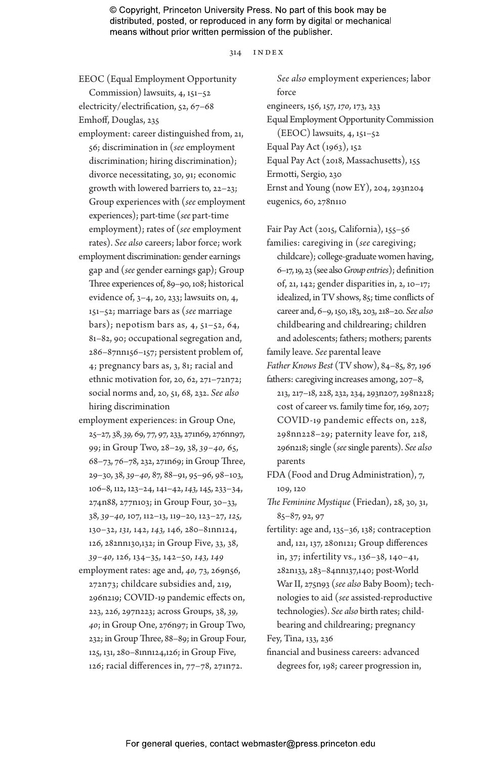#### 314 index

EEOC (Equal Employment Opportunity Commission) lawsuits, 4, 151–52 electricity/electrification, 52, 67–68 Emhoff, Douglas, 235 employment: career distinguished from, 21, 56; discrimination in (*see* employment

discrimination; hiring discrimination); divorce necessitating, 30, 91; economic growth with lowered barriers to, 22–23; Group experiences with (*see* employment experiences); part-time (*see* part-time employment); rates of (*see* employment rates). *See also* careers; labor force; work employment discrimination: gender earnings

- gap and (*see* gender earnings gap); Group Three experiences of, 89–90, 108; historical evidence of, 3–4, 20, 233; lawsuits on, 4, 151–52; marriage bars as (*see* marriage bars); nepotism bars as, 4, 51–52, 64, 81–82, 90; occupational segregation and, 286–87nn156–157; persistent problem of, 4; pregnancy bars as, 3, 81; racial and ethnic motivation for, 20, 62, 271–72n72; social norms and, 20, 51, 68, 232. *See also* hiring discrimination
- employment experiences: in Group One, 25–27, 38, *39,* 69, 77, 97, 233, 271n69, 276nn97, 99; in Group Two, 28–29, 38, *39–40,* 65, 68–73, 76–78, 232, 271n69; in Group Three, 29–30, 38, *39–40,* 87, 88–91, 95–96, 98–103, 106–8, 112, 123–24, 141–42, *143,* 145, 233–34, 274n88, 277n103; in Group Four, 30–33, 38, *39–40,* 107, 112–13, 119–20, 123–27, *125,* 130–32, *131,* 142, *143,* 146, 280–81nn124, 126, 282nn130,132; in Group Five, 33, 38, *39–40,* 126, 134–35, 142–50, *143, 149*
- employment rates: age and, *40,* 73, 269n56, 272n73; childcare subsidies and, 219, 296n219; COVID-19 pandemic effects on, 223, 226, 297n223; across Groups, 38, *39, 40*; in Group One, 276n97; in Group Two, 232; in Group Three, 88–89; in Group Four, 125, 131, 280–81nn124,126; in Group Five, 126; racial differences in, 77–78, 271n72.

*See also* employment experiences; labor force engineers, 156, 157, *170,* 173, 233 Equal Employment Opportunity Commission  $(EEOC)$  lawsuits, 4, 151–52 Equal Pay Act (1963), 152 Equal Pay Act (2018, Massachusetts), 155 Ermotti, Sergio, 230 Ernst and Young (now EY), 204, 293n204 eugenics, 60, 278n110

Fair Pay Act (2015, California), 155–56 families: caregiving in (*see* caregiving; childcare); college-graduate women having, 6–17, 19, 23 (see also *Group entries*); definition of, 21, 142; gender disparities in, 2, 10–17; idealized, in TV shows, 85; time conflicts of career and, 6–9, 150, 183, 203, 218–20. *See also* childbearing and childrearing; children and adolescents; fathers; mothers; parents family leave. *See* parental leave

*Father Knows Best* (TV show), 84–85, 87, 196 fathers: caregiving increases among, 207–8,

213, 217–18, 228, 232, 234, 293n207, 298n228; cost of career vs. family time for, 169, 207; COVID-19 pandemic effects on, 228, 298nn228–29; paternity leave for, 218, 296n218; single (*see* single parents). *See also* parents

FDA (Food and Drug Administration), 7, 109, 120

*The Feminine Mystique* (Friedan), 28, 30, 31, 85–87, 92, 97

- fertility: age and, 135–36, 138; contraception and, 121, 137, 280n121; Group differences in, 37; infertility vs., 136–38, 140–41, 282n133, 283–84nn137,140; post-World War II, 275n93 (*see also* Baby Boom); technologies to aid (*see* assisted-reproductive technologies). *See also* birth rates; childbearing and childrearing; pregnancy Fey, Tina, 133, 236
- financial and business careers: advanced
- degrees for, 198; career progression in,